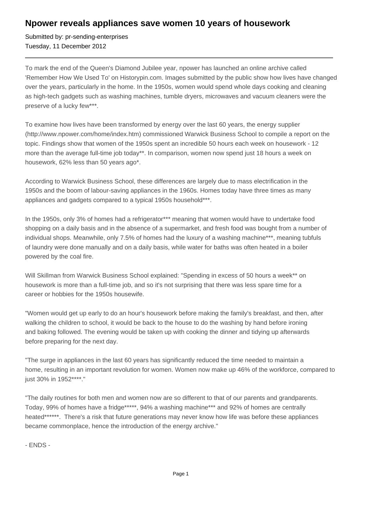## **Npower reveals appliances save women 10 years of housework**

Submitted by: pr-sending-enterprises Tuesday, 11 December 2012

To mark the end of the Queen's Diamond Jubilee year, npower has launched an online archive called 'Remember How We Used To' on Historypin.com. Images submitted by the public show how lives have changed over the years, particularly in the home. In the 1950s, women would spend whole days cooking and cleaning as high-tech gadgets such as washing machines, tumble dryers, microwaves and vacuum cleaners were the preserve of a lucky few\*\*\*.

To examine how lives have been transformed by energy over the last 60 years, the energy supplier (http://www.npower.com/home/index.htm) commissioned Warwick Business School to compile a report on the topic. Findings show that women of the 1950s spent an incredible 50 hours each week on housework - 12 more than the average full-time job today\*\*. In comparison, women now spend just 18 hours a week on housework, 62% less than 50 years ago\*.

According to Warwick Business School, these differences are largely due to mass electrification in the 1950s and the boom of labour-saving appliances in the 1960s. Homes today have three times as many appliances and gadgets compared to a typical 1950s household\*\*\*.

In the 1950s, only 3% of homes had a refrigerator\*\*\* meaning that women would have to undertake food shopping on a daily basis and in the absence of a supermarket, and fresh food was bought from a number of individual shops. Meanwhile, only 7.5% of homes had the luxury of a washing machine\*\*\*, meaning tubfuls of laundry were done manually and on a daily basis, while water for baths was often heated in a boiler powered by the coal fire.

Will Skillman from Warwick Business School explained: "Spending in excess of 50 hours a week\*\* on housework is more than a full-time job, and so it's not surprising that there was less spare time for a career or hobbies for the 1950s housewife.

"Women would get up early to do an hour's housework before making the family's breakfast, and then, after walking the children to school, it would be back to the house to do the washing by hand before ironing and baking followed. The evening would be taken up with cooking the dinner and tidying up afterwards before preparing for the next day.

"The surge in appliances in the last 60 years has significantly reduced the time needed to maintain a home, resulting in an important revolution for women. Women now make up 46% of the workforce, compared to just 30% in 1952\*\*\*\*."

"The daily routines for both men and women now are so different to that of our parents and grandparents. Today, 99% of homes have a fridge\*\*\*\*\*, 94% a washing machine\*\*\* and 92% of homes are centrally heated\*\*\*\*\*\*. There's a risk that future generations may never know how life was before these appliances became commonplace, hence the introduction of the energy archive."

- ENDS -